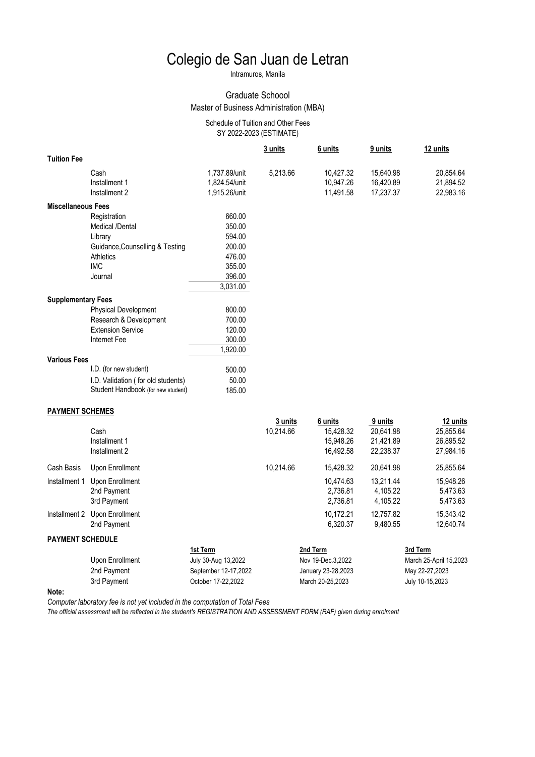# Colegio de San Juan de Letran

Intramuros, Manila

#### Graduate Schoool Master of Business Administration (MBA)

#### SY 2022-2023 (ESTIMATE) Schedule of Tuition and Other Fees

|                           |                                    |                      | 3 units              | 6 units             | 9 units              | 12 units               |
|---------------------------|------------------------------------|----------------------|----------------------|---------------------|----------------------|------------------------|
| <b>Tuition Fee</b>        |                                    |                      |                      |                     |                      |                        |
|                           | Cash                               | 1,737.89/unit        | 5,213.66             | 10,427.32           | 15,640.98            | 20,854.64              |
|                           | Installment 1                      | 1,824.54/unit        |                      | 10,947.26           | 16,420.89            | 21,894.52              |
|                           | Installment 2                      | 1,915.26/unit        |                      | 11,491.58           | 17,237.37            | 22,983.16              |
| <b>Miscellaneous Fees</b> |                                    |                      |                      |                     |                      |                        |
|                           | Registration                       | 660.00               |                      |                     |                      |                        |
|                           | Medical /Dental                    | 350.00               |                      |                     |                      |                        |
|                           | Library                            | 594.00               |                      |                     |                      |                        |
|                           | Guidance, Counselling & Testing    | 200.00               |                      |                     |                      |                        |
|                           | <b>Athletics</b>                   | 476.00               |                      |                     |                      |                        |
|                           | <b>IMC</b>                         | 355.00               |                      |                     |                      |                        |
|                           | Journal                            | 396.00               |                      |                     |                      |                        |
|                           |                                    | 3,031.00             |                      |                     |                      |                        |
| <b>Supplementary Fees</b> |                                    |                      |                      |                     |                      |                        |
|                           | <b>Physical Development</b>        | 800.00               |                      |                     |                      |                        |
|                           | Research & Development             | 700.00               |                      |                     |                      |                        |
|                           | <b>Extension Service</b>           | 120.00               |                      |                     |                      |                        |
|                           | Internet Fee                       | 300.00               |                      |                     |                      |                        |
|                           |                                    | 1,920.00             |                      |                     |                      |                        |
| <b>Various Fees</b>       |                                    |                      |                      |                     |                      |                        |
|                           | I.D. (for new student)             | 500.00               |                      |                     |                      |                        |
|                           | I.D. Validation (for old students) | 50.00                |                      |                     |                      |                        |
|                           | Student Handbook (for new student) | 185.00               |                      |                     |                      |                        |
|                           |                                    |                      |                      |                     |                      |                        |
| <b>PAYMENT SCHEMES</b>    |                                    |                      |                      | 6 units             |                      |                        |
|                           | Cash                               |                      | 3 units<br>10,214.66 | 15,428.32           | 9 units<br>20,641.98 | 12 units<br>25,855.64  |
|                           | Installment 1                      |                      |                      | 15,948.26           | 21,421.89            | 26,895.52              |
|                           | Installment 2                      |                      |                      | 16,492.58           | 22,238.37            | 27,984.16              |
|                           |                                    |                      |                      |                     |                      |                        |
| Cash Basis                | Upon Enrollment                    |                      | 10,214.66            | 15,428.32           | 20,641.98            | 25,855.64              |
| Installment 1             | Upon Enrollment                    |                      |                      | 10,474.63           | 13,211.44            | 15,948.26              |
|                           | 2nd Payment                        |                      |                      | 2,736.81            | 4,105.22             | 5,473.63               |
|                           | 3rd Payment                        |                      |                      | 2,736.81            | 4,105.22             | 5,473.63               |
|                           | Installment 2 Upon Enrollment      |                      |                      | 10,172.21           | 12,757.82            | 15,343.42              |
|                           | 2nd Payment                        |                      |                      | 6,320.37            | 9,480.55             | 12,640.74              |
| <b>PAYMENT SCHEDULE</b>   |                                    |                      |                      |                     |                      |                        |
|                           |                                    | 1st Term             |                      | 2nd Term            |                      | 3rd Term               |
|                           | Upon Enrollment                    | July 30-Aug 13,2022  |                      | Nov 19-Dec.3,2022   |                      | March 25-April 15,2023 |
|                           | 2nd Payment                        | September 12-17,2022 |                      | January 23-28, 2023 |                      | May 22-27,2023         |
|                           | 3rd Daymont                        | October 17 22 2022   |                      | March 20 25 2023    |                      | July 10 15 2023        |

**Note:**

*Computer laboratory fee is not yet included in the computation of Total Fees*

*The official assessment will be reflected in the student's REGISTRATION AND ASSESSMENT FORM (RAF) given during enrolment*

3rd Payment October 17-22,2022 March 20-25,2023 July 10-15,2023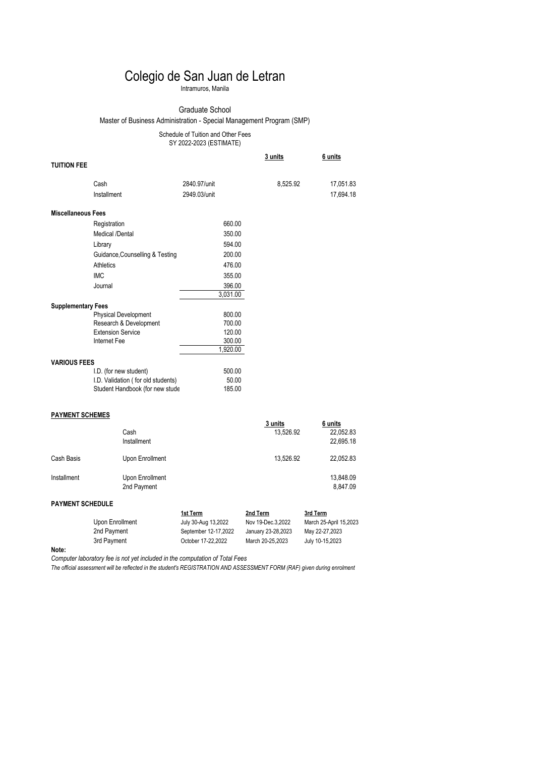### Colegio de San Juan de Letran

Intramuros, Manila

#### Graduate School

Master of Business Administration - Special Management Program (SMP)

Schedule of Tuition and Other Fees

SY 2022-2023 (ESTIMATE)

|                           |                                    |              | 3 units   | 6 units   |
|---------------------------|------------------------------------|--------------|-----------|-----------|
| <b>TUITION FEE</b>        |                                    |              |           |           |
|                           | Cash                               | 2840.97/unit | 8,525.92  | 17,051.83 |
|                           | Installment                        | 2949.03/unit |           | 17,694.18 |
| <b>Miscellaneous Fees</b> |                                    |              |           |           |
|                           | Registration                       | 660.00       |           |           |
|                           | Medical /Dental                    | 350.00       |           |           |
|                           | Library                            | 594.00       |           |           |
|                           | Guidance, Counselling & Testing    | 200.00       |           |           |
|                           | Athletics                          | 476.00       |           |           |
|                           | <b>IMC</b>                         | 355.00       |           |           |
|                           | Journal                            | 396.00       |           |           |
|                           |                                    | 3,031.00     |           |           |
| <b>Supplementary Fees</b> |                                    |              |           |           |
|                           | <b>Physical Development</b>        | 800.00       |           |           |
|                           | Research & Development             | 700.00       |           |           |
|                           | <b>Extension Service</b>           | 120.00       |           |           |
|                           | Internet Fee                       | 300.00       |           |           |
|                           |                                    | 1,920.00     |           |           |
| <b>VARIOUS FEES</b>       |                                    |              |           |           |
|                           | I.D. (for new student)             | 500.00       |           |           |
|                           | I.D. Validation (for old students) | 50.00        |           |           |
|                           | Student Handbook (for new stude    | 185.00       |           |           |
| <b>PAYMENT SCHEMES</b>    |                                    |              |           |           |
|                           |                                    |              | 3 units   | 6 units   |
|                           | Cash                               |              | 13.526.92 | 22.052.83 |

## Installment Upon Enrollment 13,848.09<br>2nd Payment 2nd Payment 13,847.09

| <b>PAYMENT SCHEDULE</b> |                      |                    |                        |  |
|-------------------------|----------------------|--------------------|------------------------|--|
|                         | 1st Term             | 2nd Term           | 3rd Term               |  |
| Upon Enrollment         | July 30-Aug 13,2022  | Nov 19-Dec.3.2022  | March 25-April 15,2023 |  |
| 2nd Payment             | September 12-17.2022 | January 23-28.2023 | May 22-27,2023         |  |
| 3rd Payment             | October 17-22.2022   | March 20-25.2023   | July 10-15,2023        |  |

Cash Basis **Cash Basis** Upon Enrollment 13,526.92 22,052.83

 Cash 13,526.92 22,052.83 Installment 22,695.18

**Note:**

*Computer laboratory fee is not yet included in the computation of Total Fees*

2nd Payment

*The official assessment will be reflected in the student's REGISTRATION AND ASSESSMENT FORM (RAF) given during enrolment*